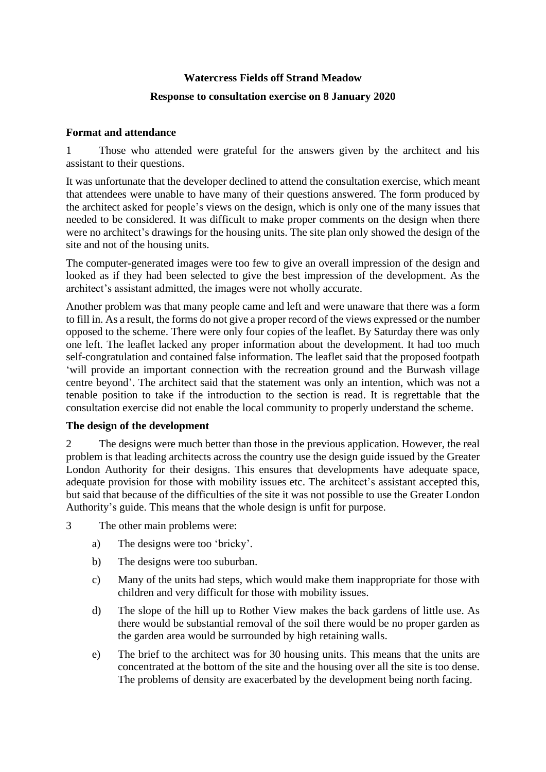# **Watercress Fields off Strand Meadow Response to consultation exercise on 8 January 2020**

### **Format and attendance**

1 Those who attended were grateful for the answers given by the architect and his assistant to their questions.

It was unfortunate that the developer declined to attend the consultation exercise, which meant that attendees were unable to have many of their questions answered. The form produced by the architect asked for people's views on the design, which is only one of the many issues that needed to be considered. It was difficult to make proper comments on the design when there were no architect's drawings for the housing units. The site plan only showed the design of the site and not of the housing units.

The computer-generated images were too few to give an overall impression of the design and looked as if they had been selected to give the best impression of the development. As the architect's assistant admitted, the images were not wholly accurate.

Another problem was that many people came and left and were unaware that there was a form to fill in. As a result, the forms do not give a proper record of the views expressed or the number opposed to the scheme. There were only four copies of the leaflet. By Saturday there was only one left. The leaflet lacked any proper information about the development. It had too much self-congratulation and contained false information. The leaflet said that the proposed footpath 'will provide an important connection with the recreation ground and the Burwash village centre beyond'. The architect said that the statement was only an intention, which was not a tenable position to take if the introduction to the section is read. It is regrettable that the consultation exercise did not enable the local community to properly understand the scheme.

#### **The design of the development**

2 The designs were much better than those in the previous application. However, the real problem is that leading architects across the country use the design guide issued by the Greater London Authority for their designs. This ensures that developments have adequate space, adequate provision for those with mobility issues etc. The architect's assistant accepted this, but said that because of the difficulties of the site it was not possible to use the Greater London Authority's guide. This means that the whole design is unfit for purpose.

- 3 The other main problems were:
	- a) The designs were too 'bricky'.
	- b) The designs were too suburban.
	- c) Many of the units had steps, which would make them inappropriate for those with children and very difficult for those with mobility issues.
	- d) The slope of the hill up to Rother View makes the back gardens of little use. As there would be substantial removal of the soil there would be no proper garden as the garden area would be surrounded by high retaining walls.
	- e) The brief to the architect was for 30 housing units. This means that the units are concentrated at the bottom of the site and the housing over all the site is too dense. The problems of density are exacerbated by the development being north facing.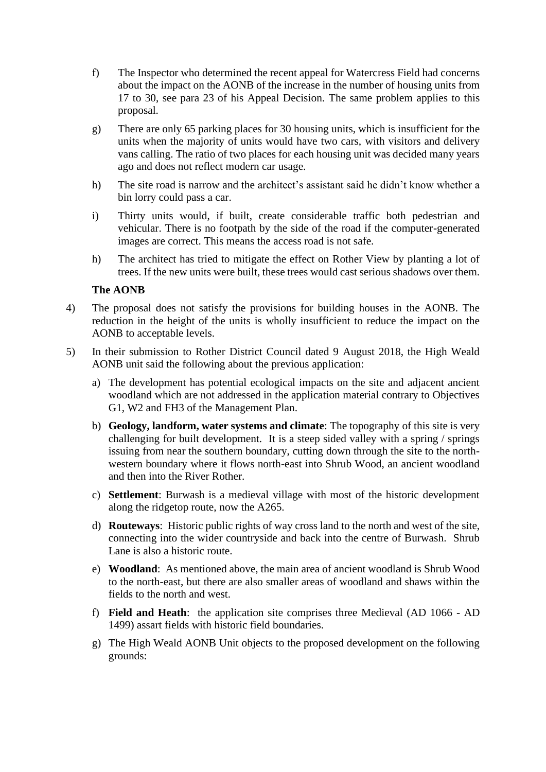- f) The Inspector who determined the recent appeal for Watercress Field had concerns about the impact on the AONB of the increase in the number of housing units from 17 to 30, see para 23 of his Appeal Decision. The same problem applies to this proposal.
- g) There are only 65 parking places for 30 housing units, which is insufficient for the units when the majority of units would have two cars, with visitors and delivery vans calling. The ratio of two places for each housing unit was decided many years ago and does not reflect modern car usage.
- h) The site road is narrow and the architect's assistant said he didn't know whether a bin lorry could pass a car.
- i) Thirty units would, if built, create considerable traffic both pedestrian and vehicular. There is no footpath by the side of the road if the computer-generated images are correct. This means the access road is not safe.
- h) The architect has tried to mitigate the effect on Rother View by planting a lot of trees. If the new units were built, these trees would cast serious shadows over them.

#### **The AONB**

- 4) The proposal does not satisfy the provisions for building houses in the AONB. The reduction in the height of the units is wholly insufficient to reduce the impact on the AONB to acceptable levels.
- 5) In their submission to Rother District Council dated 9 August 2018, the High Weald AONB unit said the following about the previous application:
	- a) The development has potential ecological impacts on the site and adjacent ancient woodland which are not addressed in the application material contrary to Objectives G1, W2 and FH3 of the Management Plan.
	- b) **Geology, landform, water systems and climate**: The topography of this site is very challenging for built development. It is a steep sided valley with a spring / springs issuing from near the southern boundary, cutting down through the site to the northwestern boundary where it flows north-east into Shrub Wood, an ancient woodland and then into the River Rother.
	- c) **Settlement**: Burwash is a medieval village with most of the historic development along the ridgetop route, now the A265.
	- d) **Routeways**: Historic public rights of way cross land to the north and west of the site, connecting into the wider countryside and back into the centre of Burwash. Shrub Lane is also a historic route.
	- e) **Woodland**: As mentioned above, the main area of ancient woodland is Shrub Wood to the north-east, but there are also smaller areas of woodland and shaws within the fields to the north and west.
	- f) **Field and Heath**: the application site comprises three Medieval (AD 1066 AD 1499) assart fields with historic field boundaries.
	- g) The High Weald AONB Unit objects to the proposed development on the following grounds: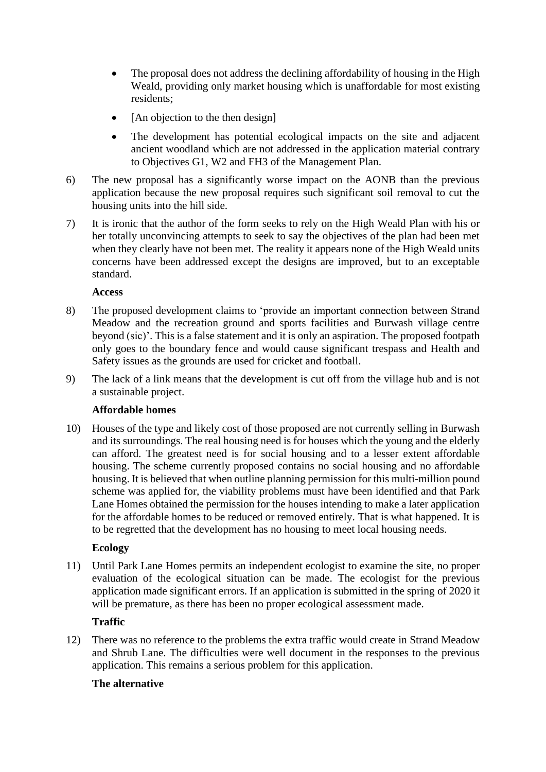- The proposal does not address the declining affordability of housing in the High Weald, providing only market housing which is unaffordable for most existing residents;
- [An objection to the then design]
- The development has potential ecological impacts on the site and adjacent ancient woodland which are not addressed in the application material contrary to Objectives G1, W2 and FH3 of the Management Plan.
- 6) The new proposal has a significantly worse impact on the AONB than the previous application because the new proposal requires such significant soil removal to cut the housing units into the hill side.
- 7) It is ironic that the author of the form seeks to rely on the High Weald Plan with his or her totally unconvincing attempts to seek to say the objectives of the plan had been met when they clearly have not been met. The reality it appears none of the High Weald units concerns have been addressed except the designs are improved, but to an exceptable standard.

#### **Access**

- 8) The proposed development claims to 'provide an important connection between Strand Meadow and the recreation ground and sports facilities and Burwash village centre beyond (sic)'. This is a false statement and it is only an aspiration. The proposed footpath only goes to the boundary fence and would cause significant trespass and Health and Safety issues as the grounds are used for cricket and football.
- 9) The lack of a link means that the development is cut off from the village hub and is not a sustainable project.

# **Affordable homes**

10) Houses of the type and likely cost of those proposed are not currently selling in Burwash and its surroundings. The real housing need is for houses which the young and the elderly can afford. The greatest need is for social housing and to a lesser extent affordable housing. The scheme currently proposed contains no social housing and no affordable housing. It is believed that when outline planning permission for this multi-million pound scheme was applied for, the viability problems must have been identified and that Park Lane Homes obtained the permission for the houses intending to make a later application for the affordable homes to be reduced or removed entirely. That is what happened. It is to be regretted that the development has no housing to meet local housing needs.

# **Ecology**

11) Until Park Lane Homes permits an independent ecologist to examine the site, no proper evaluation of the ecological situation can be made. The ecologist for the previous application made significant errors. If an application is submitted in the spring of 2020 it will be premature, as there has been no proper ecological assessment made.

# **Traffic**

12) There was no reference to the problems the extra traffic would create in Strand Meadow and Shrub Lane. The difficulties were well document in the responses to the previous application. This remains a serious problem for this application.

# **The alternative**